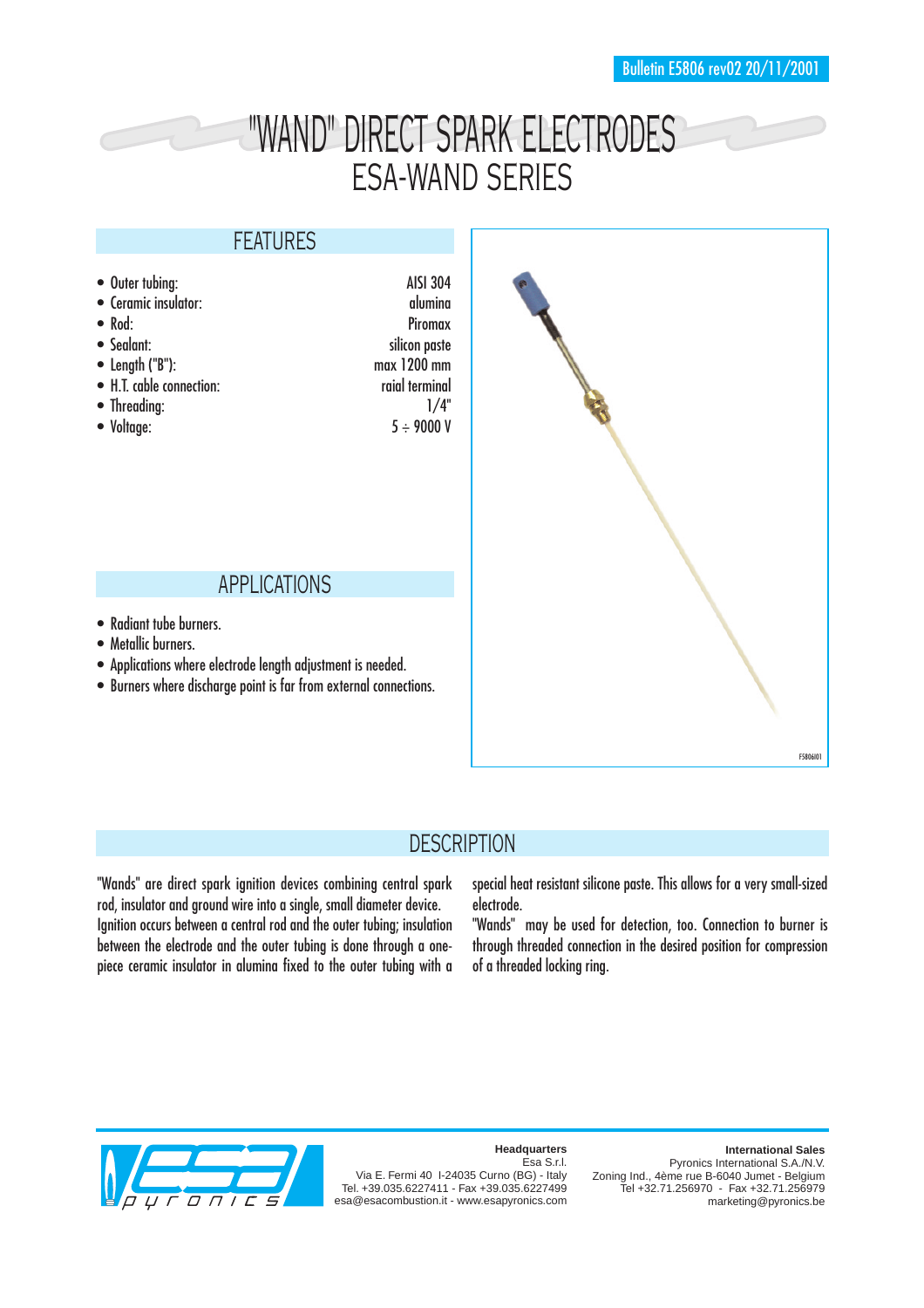# "WAND" DIRECT SPARK ELECTRODES ESA-WAND SERIES

### FEATURES

• Outer tubing: AISI 304 • Ceramic insulator: alumina • Rod: Piromax • Sealant: silicon paste • Length ("B"): max 1200 mm • H.T. cable connection: raial terminal • Threading:  $1/4"$ • Voltage:  $5 \div 9000 \text{ V}$ 

#### APPLICATIONS

- Radiant tube burners.
- Metallic burners.
- Applications where electrode length adjustment is needed.
- Burners where discharge point is far from external connections.



# **DESCRIPTION**

"Wands" are direct spark ignition devices combining central spark rod, insulator and ground wire into a single, small diameter device. Ignition occurs between a central rod and the outer tubing; insulation between the electrode and the outer tubing is done through a onepiece ceramic insulator in alumina fixed to the outer tubing with a

special heat resistant silicone paste. This allows for a very small-sized electrode.

"Wands" may be used for detection, too. Connection to burner is through threaded connection in the desired position for compression of a threaded locking ring.



#### **Headquarters**

Esa S.r.l. Via E. Fermi 40 I-24035 Curno (BG) - Italy Tel. +39.035.6227411 - Fax +39.035.6227499 esa@esacombustion.it - www.esapyronics.com

**International Sales** Pyronics International S.A./N.V. Zoning Ind., 4ème rue B-6040 Jumet - Belgium Tel +32.71.256970 - Fax +32.71.256979 marketing@pyronics.be